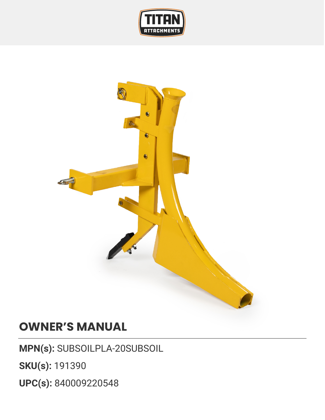



#### **OWNER'S MANUAL**

**MPN(s):** SUBSOILPLA-20SUBSOIL **SKU(s):** 191390

**UPC(s):** 840009220548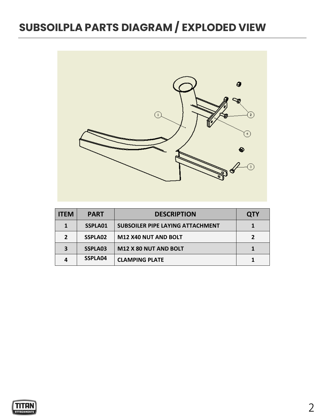### **SUBSOILPLA PARTS DIAGRAM / EXPLODED VIEW**



| <b>ITEM</b> | <b>PART</b> | <b>DESCRIPTION</b>                      | <b>QTY</b> |
|-------------|-------------|-----------------------------------------|------------|
| 1           | SSPLA01     | <b>SUBSOILER PIPE LAYING ATTACHMENT</b> |            |
|             | SSPLA02     | M12 X40 NUT AND BOLT                    |            |
| 3           | SSPLA03     | M12 X 80 NUT AND BOLT                   |            |
| 4           | SSPLA04     | <b>CLAMPING PLATE</b>                   |            |

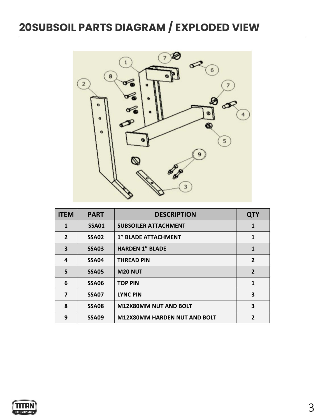## **20SUBSOIL PARTS DIAGRAM / EXPLODED VIEW**



| <b>ITEM</b>    | <b>PART</b>  | <b>DESCRIPTION</b>                  | <b>QTY</b>     |
|----------------|--------------|-------------------------------------|----------------|
| 1              | <b>SSA01</b> | <b>SUBSOILER ATTACHMENT</b>         | 1              |
| $\overline{2}$ | <b>SSA02</b> | <b>1" BLADE ATTACHMENT</b>          | 1              |
| 3              | <b>SSA03</b> | <b>HARDEN 1" BLADE</b>              | 1              |
| 4              | <b>SSA04</b> | <b>THREAD PIN</b>                   | $\overline{2}$ |
| 5              | <b>SSA05</b> | <b>M20 NUT</b>                      | $\overline{2}$ |
| 6              | <b>SSA06</b> | <b>TOP PIN</b>                      | $\mathbf{1}$   |
| 7              | <b>SSA07</b> | <b>LYNC PIN</b>                     | 3              |
| 8              | <b>SSA08</b> | M12X80MM NUT AND BOLT               | 3              |
| 9              | <b>SSA09</b> | <b>M12X80MM HARDEN NUT AND BOLT</b> | $\mathbf{2}$   |